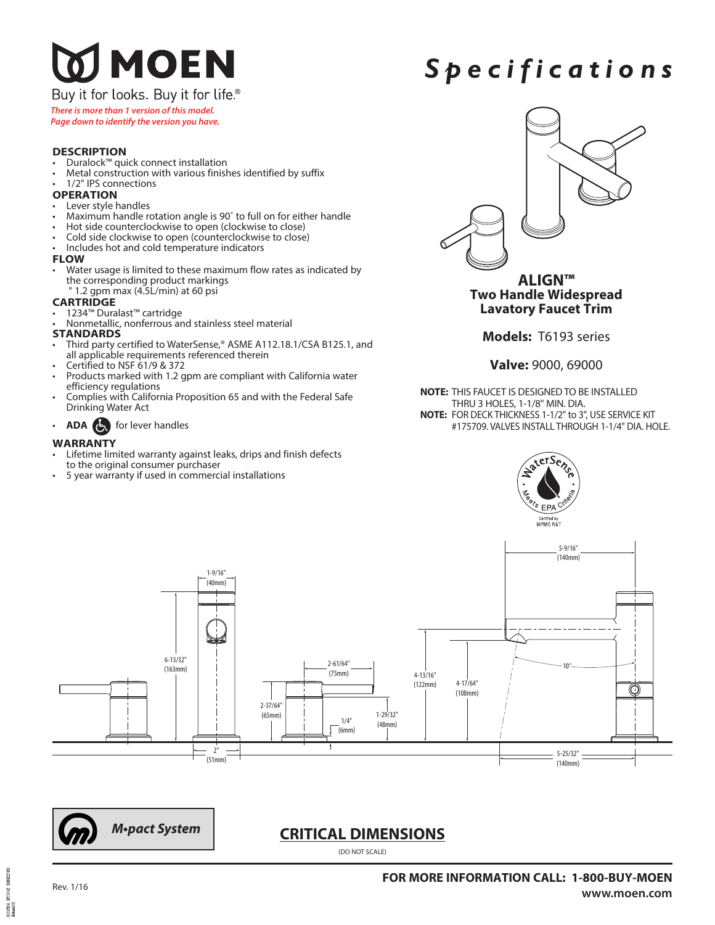# J MOEN

### Buy it for looks. Buy it for life.®

*There is more than 1 version of this model.*

### *Page down to identify the version you have.*

### **DESCRIPTION**

- Duralock™ quick connect installation
- Metal construction with various finishes identified by suffix
- 1/2" IPS connections

### **OPERATION**

- Lever style handles
- Maximum handle rotation angle is 90˚ to full on for either handle
- Hot side counterclockwise to open (clockwise to close)
- Cold side clockwise to open (counterclockwise to close)
- Includes hot and cold temperature indicators

### **FLOW**

• Water usage is limited to these maximum flow rates as indicated by the corresponding product markings ° 1.2 gpm max (4.5L/min) at 60 psi

### **CARTRIDGE**

- 1234™ Duralast™ cartridge
- Nonmetallic, nonferrous and stainless steel material

### **STANDARDS**

- Third party certified to WaterSense,® ASME A112.18.1/CSA B125.1, and all applicable requirements referenced therein
- Certified to NSF 61/9 & 372
- Products marked with 1.2 gpm are compliant with California water efficiency regulations
- Complies with California Proposition 65 and with the Federal Safe Drinking Water Act
- **ADA** for lever handles

### **WARRANTY**

- Lifetime limited warranty against leaks, drips and finish defects
- to the original consumer purchaser
- 5 year warranty if used in commercial installations



*S p e c i f i c a t i o n s*

**Two Handle Widespread Lavatory Faucet Trim**

**Models:** T6193 series

### **Valve:** 9000, 69000

**NOTE:** THIS FAUCET IS DESIGNED TO BE INSTALLED THRU 3 HOLES, 1-1/8" MIN. DIA. **NOTE:** FOR DECK THICKNESS 1-1/2" to 3", USE SERVICE KIT #175709. VALVES INSTALL THROUGH 1-1/4" DIA. HOLE.





### **CRITICAL DIMENSIONS**

(DO NOT SCALE)

ovniment **DURG**  $\frac{11137006}{3c\text{ krad }02}$